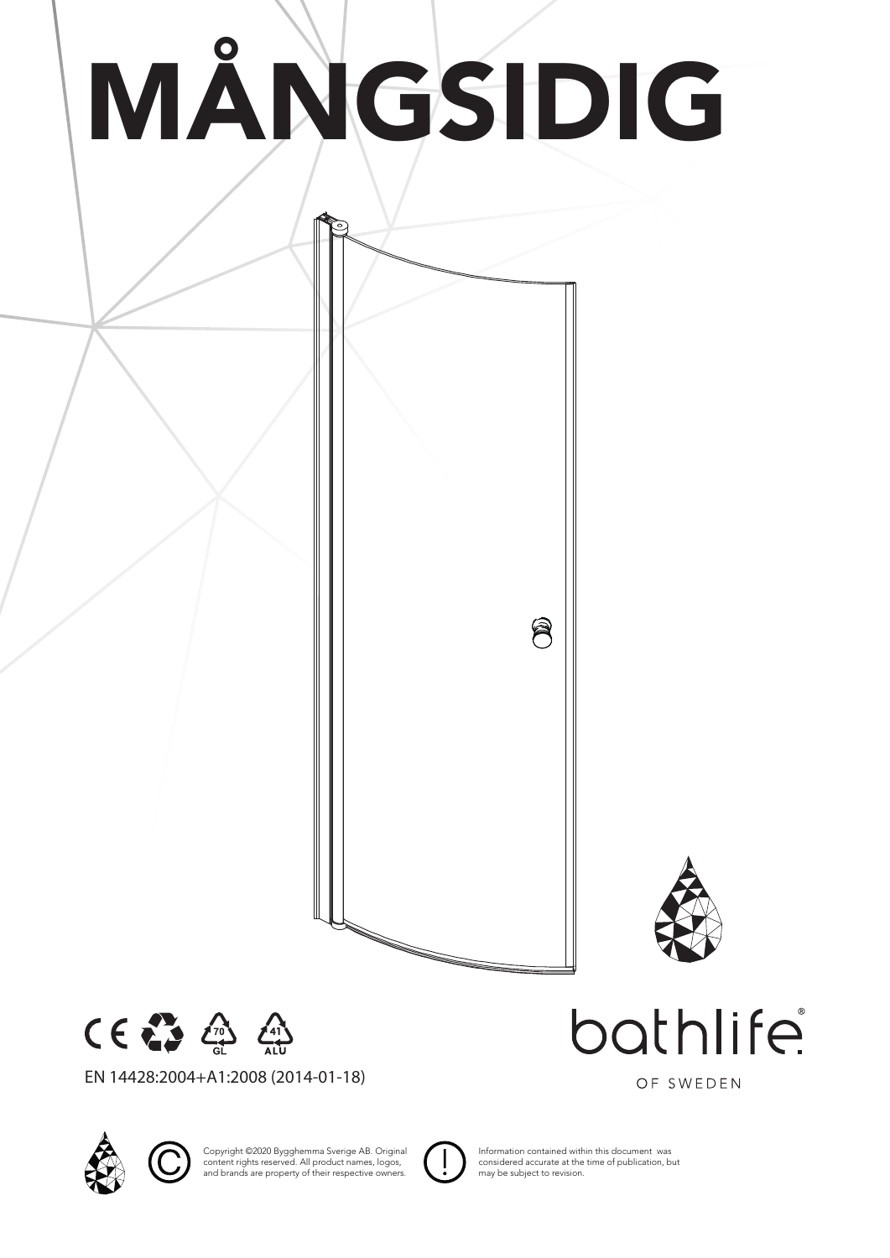

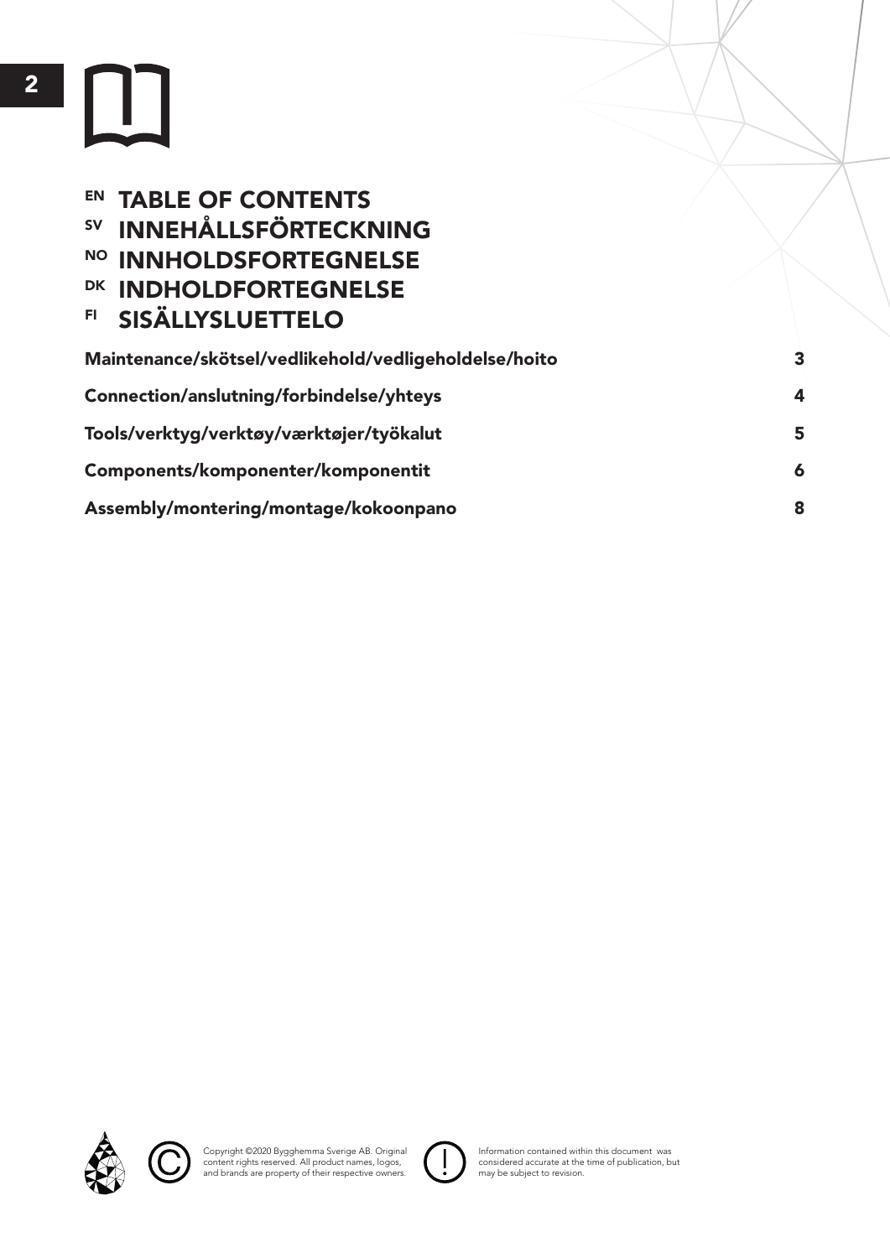## EN TABLE OF CONTENTS <sup>sv</sup> INNEHÅLLSFÖRTECKNING <sup>NO</sup> INNHOLDSFORTEGNELSE <sup>DK</sup> INDHOLDFORTEGNELSE <sup>FI</sup> SISÄLLYSLUETTELO

| Maintenance/skötsel/vedlikehold/vedligeholdelse/hoito                                                                      | 3           |                                       |   |
|----------------------------------------------------------------------------------------------------------------------------|-------------|---------------------------------------|---|
| Connection/anslutning/forbindelse/yhteys<br>Tools/verktyg/verktøy/værktøjer/työkalut<br>Components/komponenter/komponentit | 4<br>5<br>6 |                                       |   |
|                                                                                                                            |             | Assembly/montering/montage/kokoonpano | 8 |



Copyright ©2020 Bygghemma Sverige AB. Original<br>content rights reserved. All product names, logos, and brands are property of their respective owners.

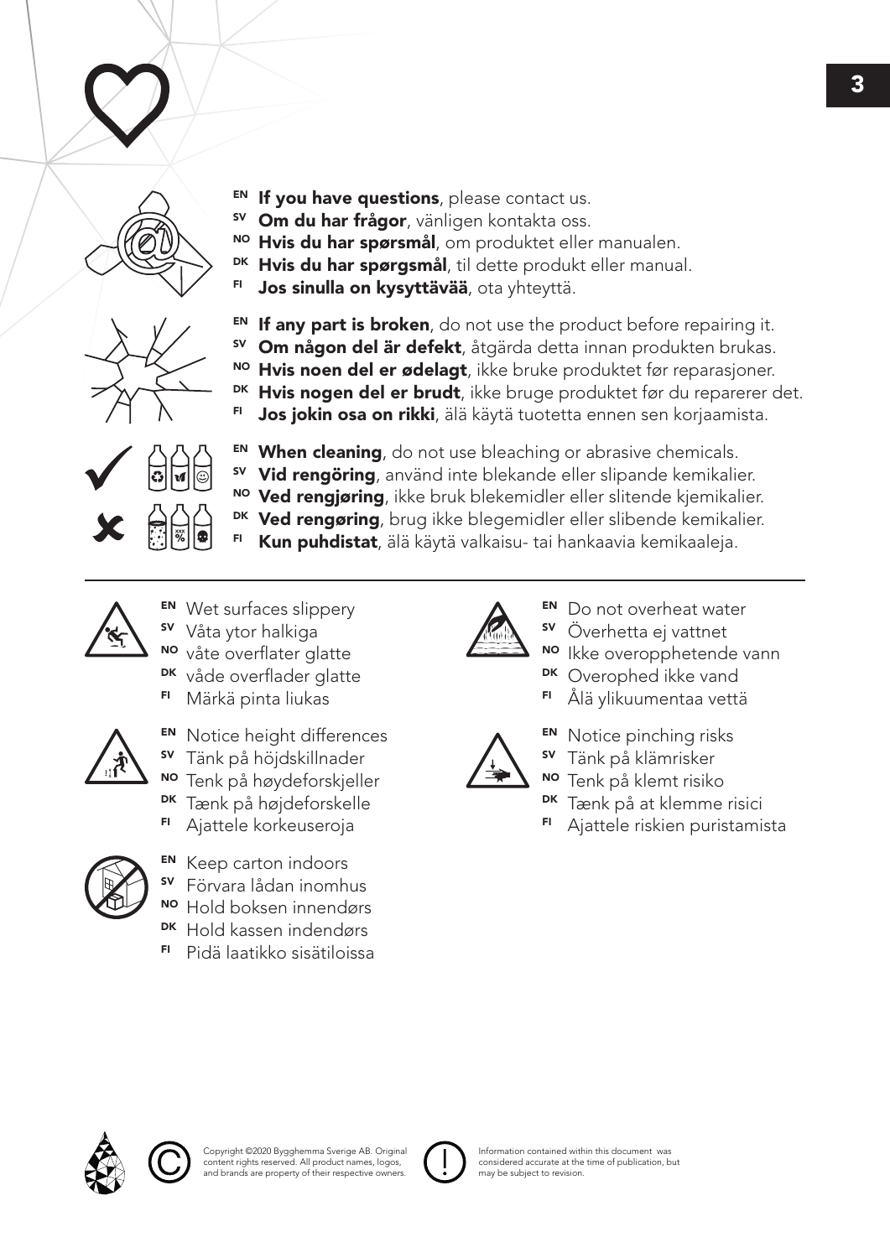



- EN If you have questions, please contact us.
- <sup>sv</sup> Om du har frågor, vänligen kontakta oss.
- <sup>no</sup> Hvis du har spørsmål, om produktet eller manualen.
- <sup>DK</sup> Hvis du har spørgsmål, til dette produkt eller manual.
- Jos sinulla on kysyttävää, ota yhteyttä. FI



If any part is broken, do not use the product before repairing it. Om någon del är defekt, åtgärda detta innan produkten brukas. **<sup>no</sup> Hvis noen del er ødelagt**, ikke bruke produktet før reparasjoner. Hvis nogen del er brudt, ikke bruge produktet før du reparerer det. Jos jokin osa on rikki, älä käytä tuotetta ennen sen korjaamista. EN SV DK FI



- EN When cleaning, do not use bleaching or abrasive chemicals. <sup>sv</sup> Vid rengöring, använd inte blekande eller slipande kemikalier. **<sup>no</sup> Ved rengjøring**, ikke bruk blekemidler eller slitende kjemikalier. <sup>**¤K) Ved rengøring**, brug ikke blegemidler eller slibende kemikalier.</sup>
- Kun puhdistat, älä käytä valkaisu- tai hankaavia kemikaaleja. FI



- EN Wet surfaces slippery <sup>sv</sup> Våta ytor halkiga <sup>NO</sup> våte overflater glatte
- våde overflader glatte DK
- Märkä pinta liukas FI



- **EN** Notice height differences
- **<sup>sv</sup>** Tänk på höjdskillnader
- **<sup>NO</sup> T**enk på høydeforskjeller
- <sup>DK</sup> Tænk på højdeforskelle Ajattele korkeuseroja FI



- Keep carton indoors EN
- Förvara lådan inomhus SV
- **<sup>NO</sup> Hold boksen innendørs**
- <sup>DK</sup> Hold kassen indendørs
- Pidä laatikko sisätiloissa FI



- EN Do not overheat water
- Överhetta ej vattnet SV
- <sup>NO</sup> Ikke overopphetende vann
- Overophed ikke vand DK
- Ålä ylikuumentaa vettä FI



Notice pinching risks EN

- <sup>sv</sup> Tänk på klämrisker
- **<sup>NO</sup> T**enk på klemt risiko
- **<sup>DK</sup>** Tænk på at klemme risici
- Ajattele riskien puristamista FI





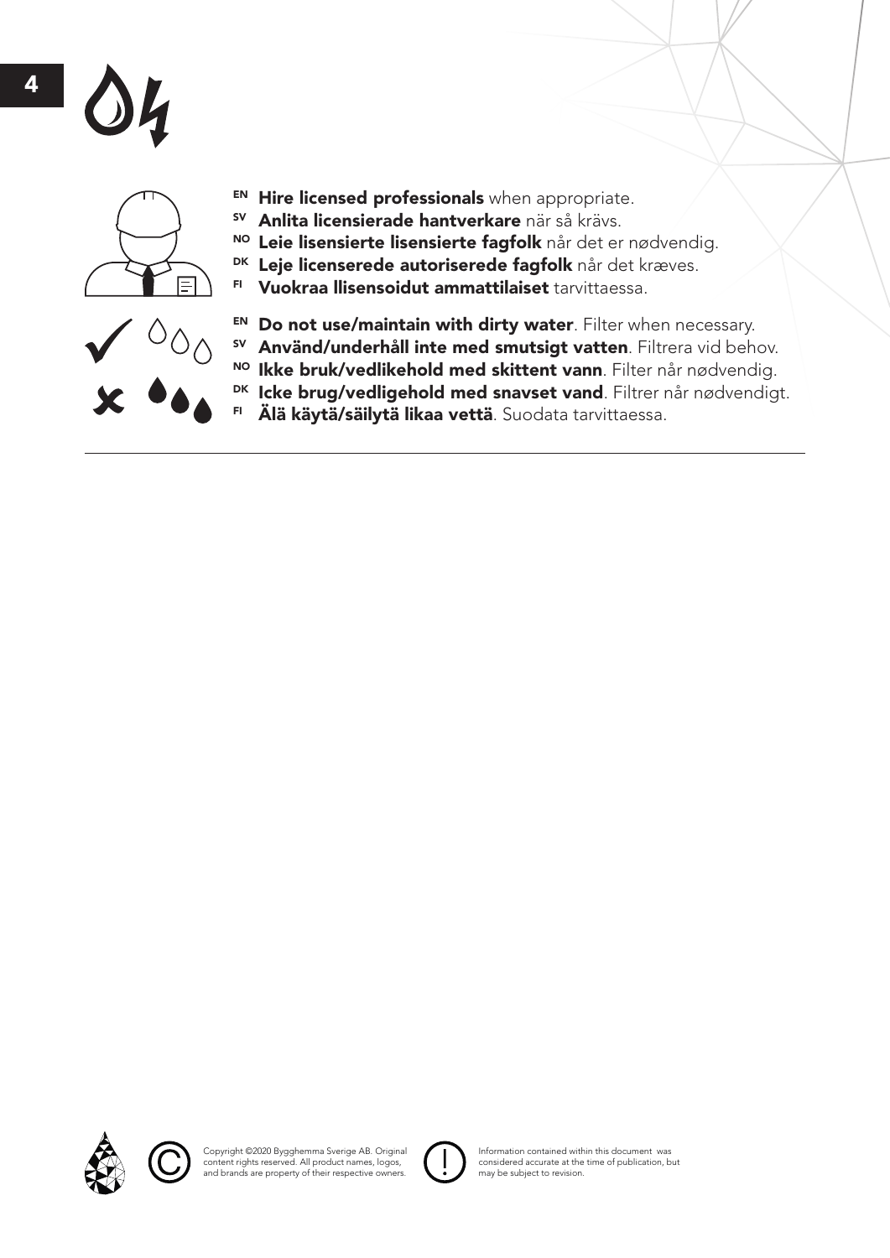- 
- EN Hire licensed professionals when appropriate.
- <sup>sv</sup> Anlita licensierade hantverkare när så krävs.
- <sup>no</sup> Leie lisensierte lisensierte fagfolk når det er nødvendig.
- **<sup>DK</sup> Leje licenserede autoriserede fagfolk** når det kræves.
- <sup>FI</sup> Vuokraa llisensoidut ammattilaiset tarvittaessa.



- Do not use/maintain with dirty water. Filter when necessary. <sup>sv</sup> Använd/underhåll inte med smutsigt vatten. Filtrera vid behov. **<sup>NO</sup> Ikke bruk/vedlikehold med skittent vann**. Filter når nødvendig. **<sup>DK</sup> Icke brug/vedligehold med snavset vand**. Filtrer når nødvendigt. EN
- Älä käytä/säilytä likaa vettä. Suodata tarvittaessa. FI



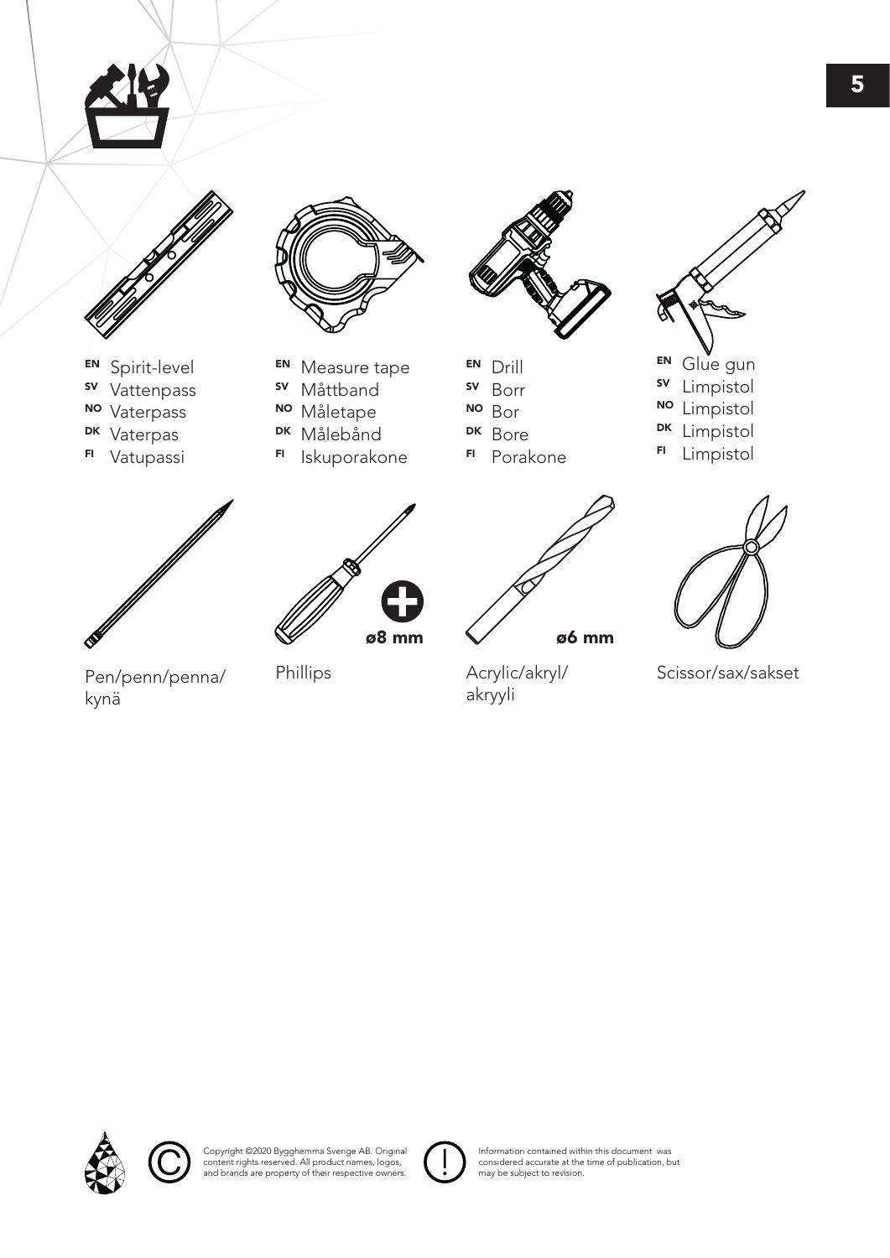



kynä

akryyli



content rights reserved. All product names, logos, and brands are property of their respective owners. Copyright ©2020 Bygghemma Sverige AB. Original

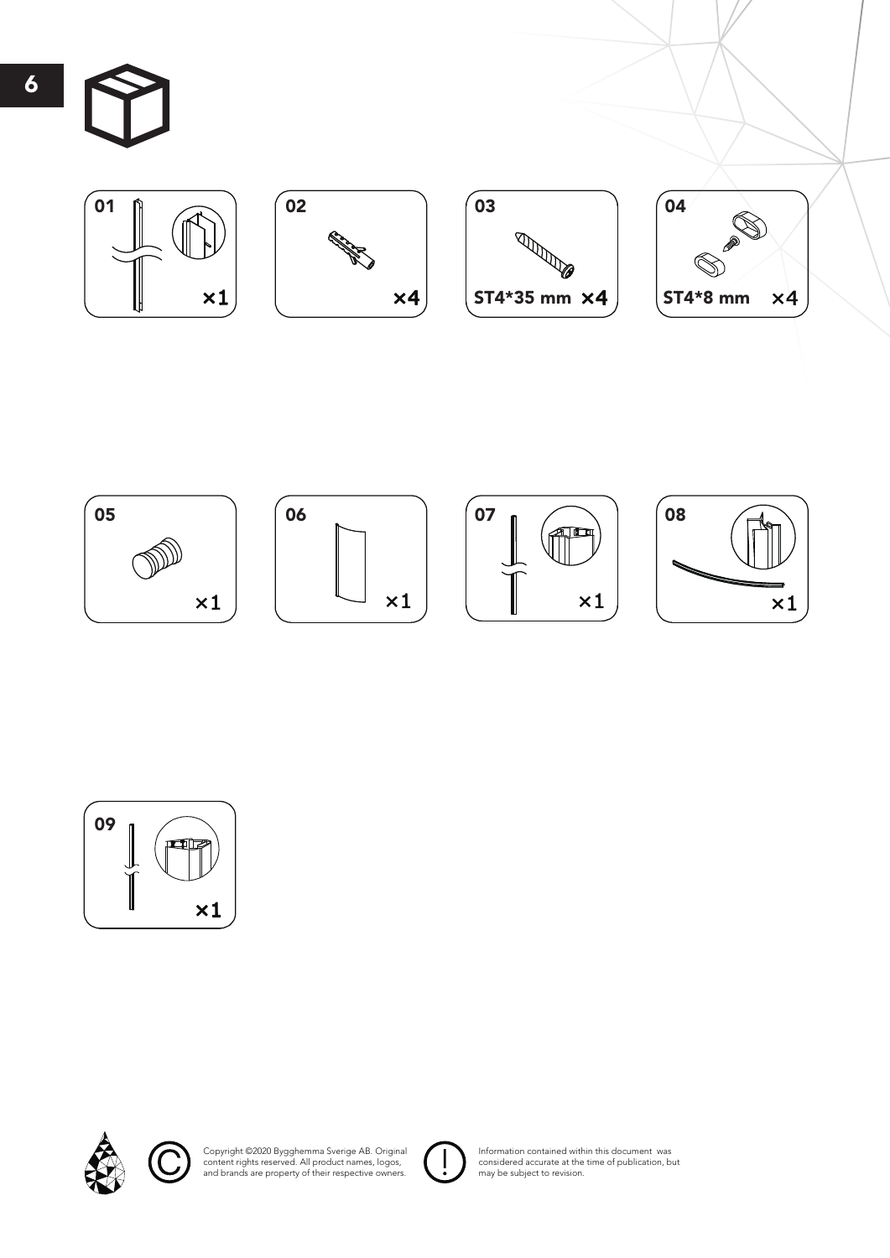







content rights reserved. All product names, logos, and brands are property of their respective owners. Copyright ©2020 Bygghemma Sverige AB. Original

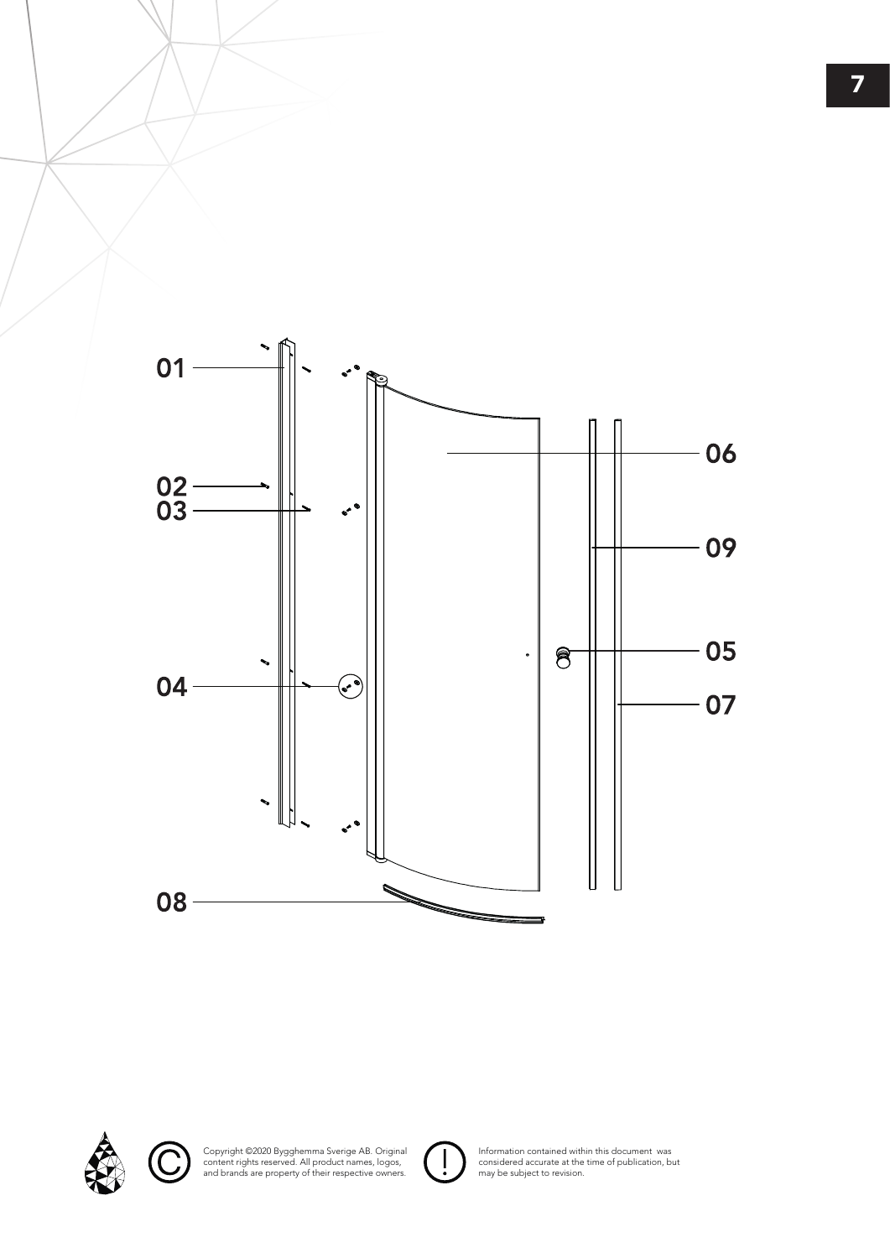



content rights reserved. All product names, logos, and brands are property of their respective owners. Copyright ©2020 Bygghemma Sverige AB. Original

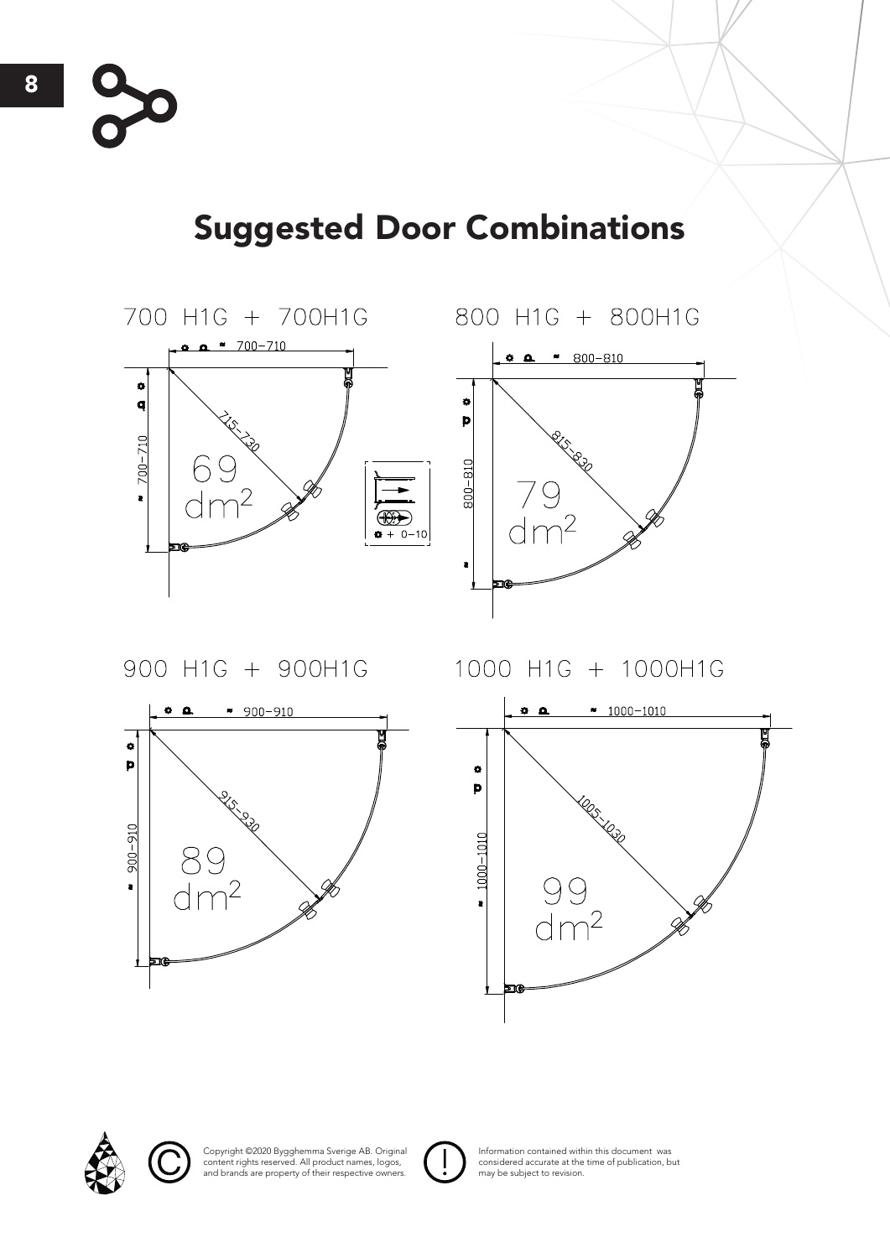## Suggested Door Combinations



800 H1G + 800H1G



900 H1G + 900H1G



1000 H1G + 1000H1G





Copyright ©2020 Bygghemma Sverige AB. Original<br>content rights reserved. All product names, logos, and brands are property of their respective owners.

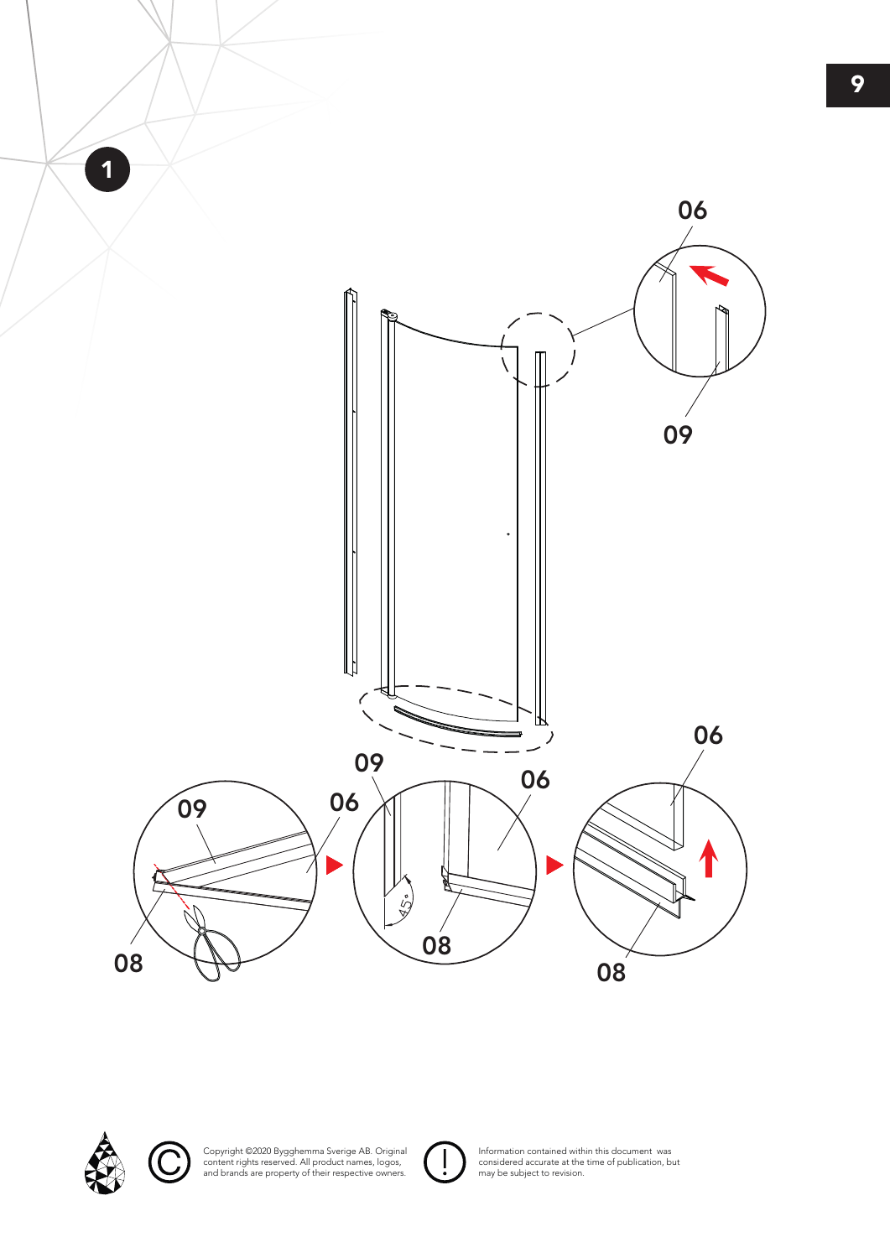



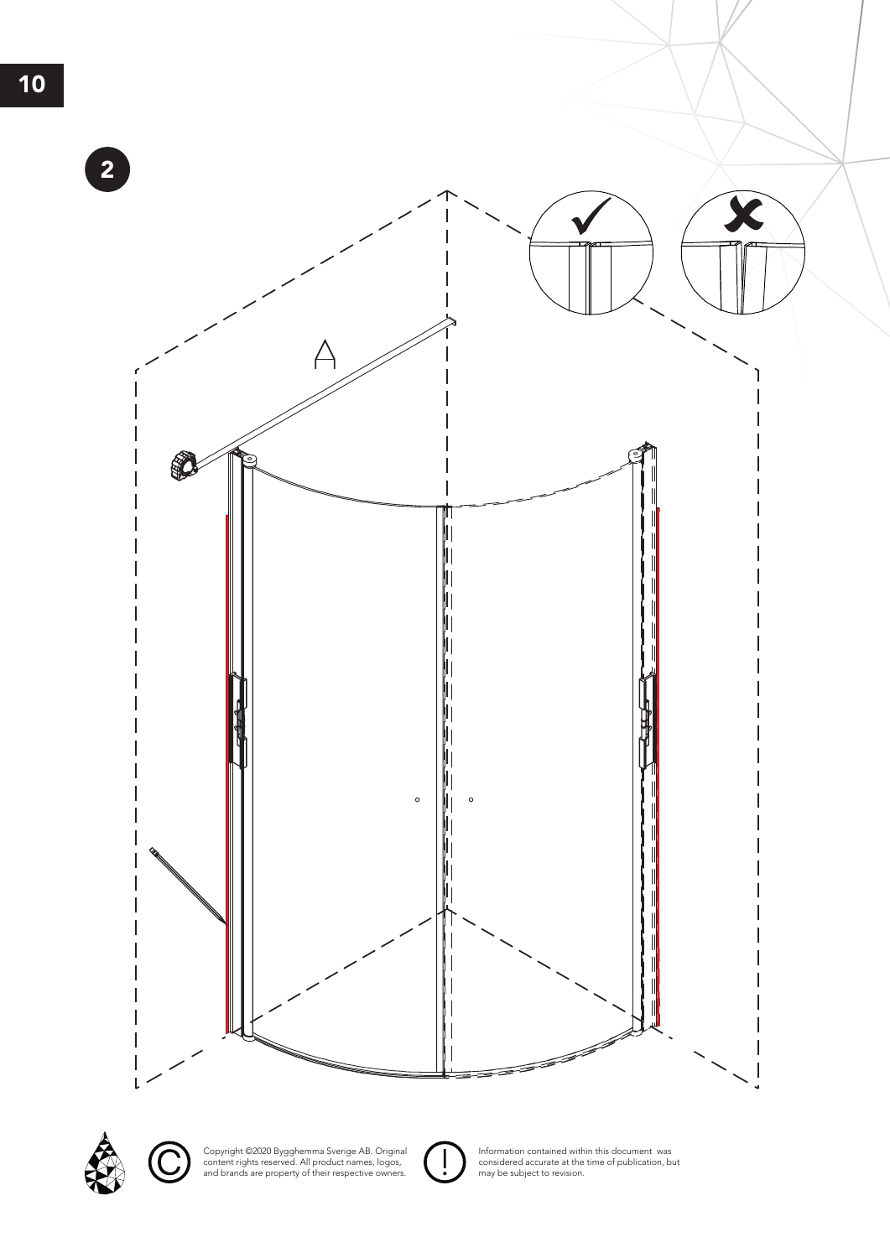



 $\mathsf{l}$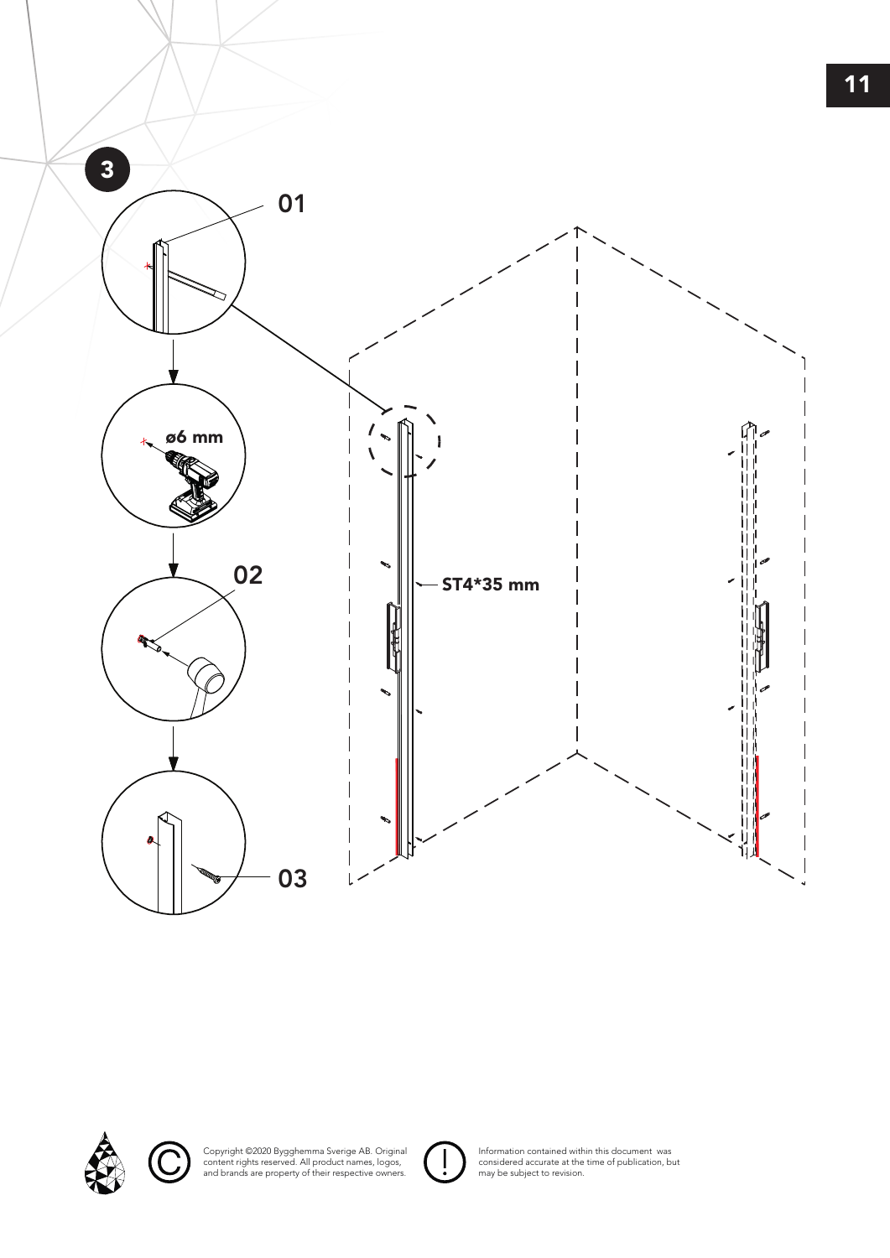



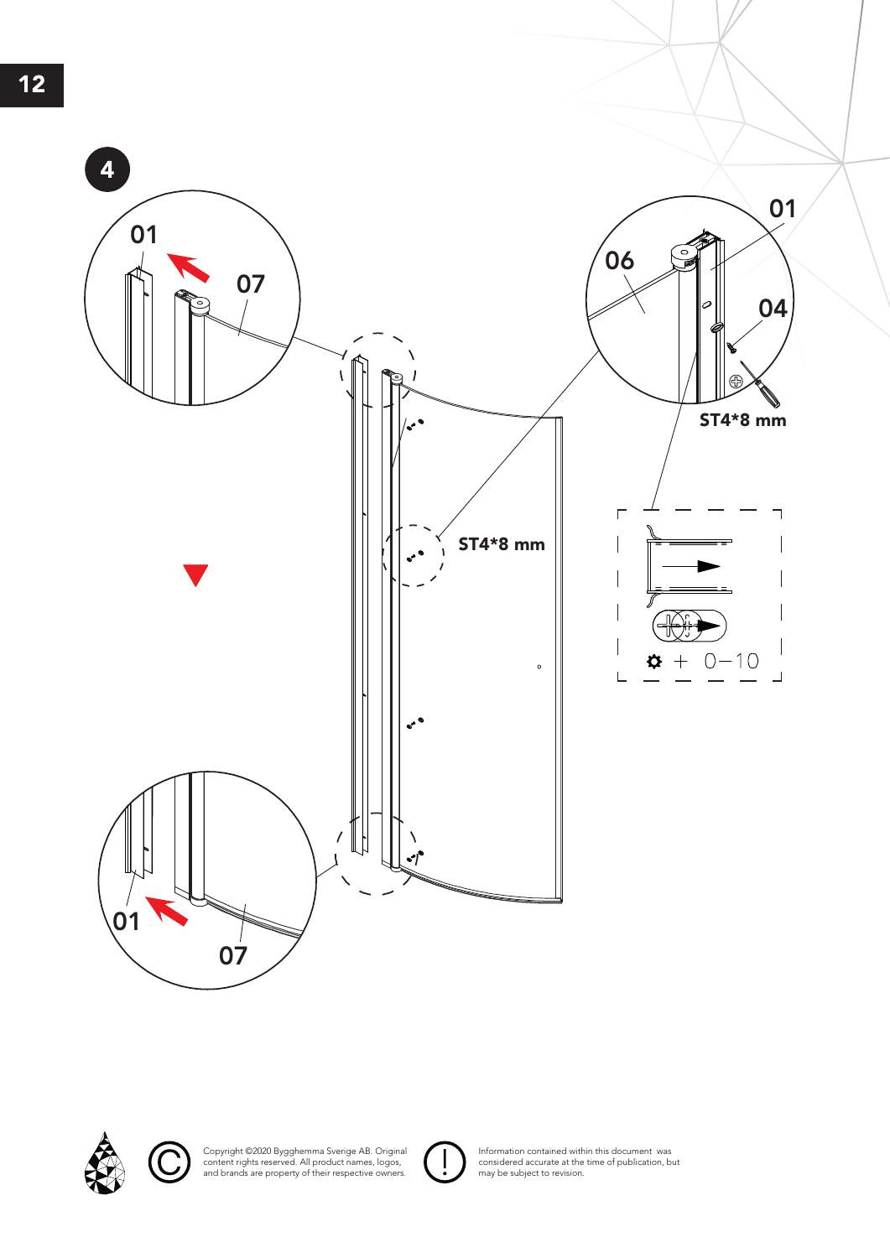



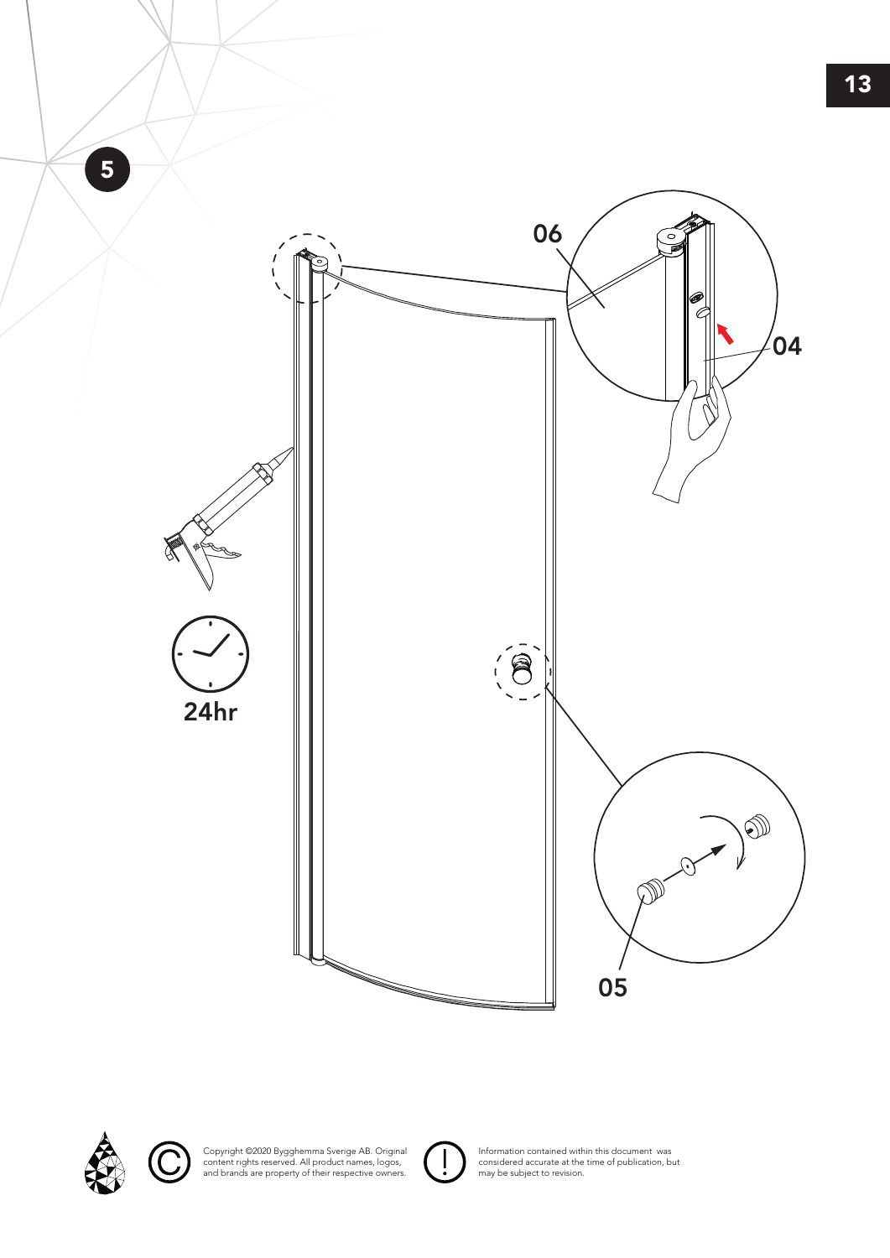



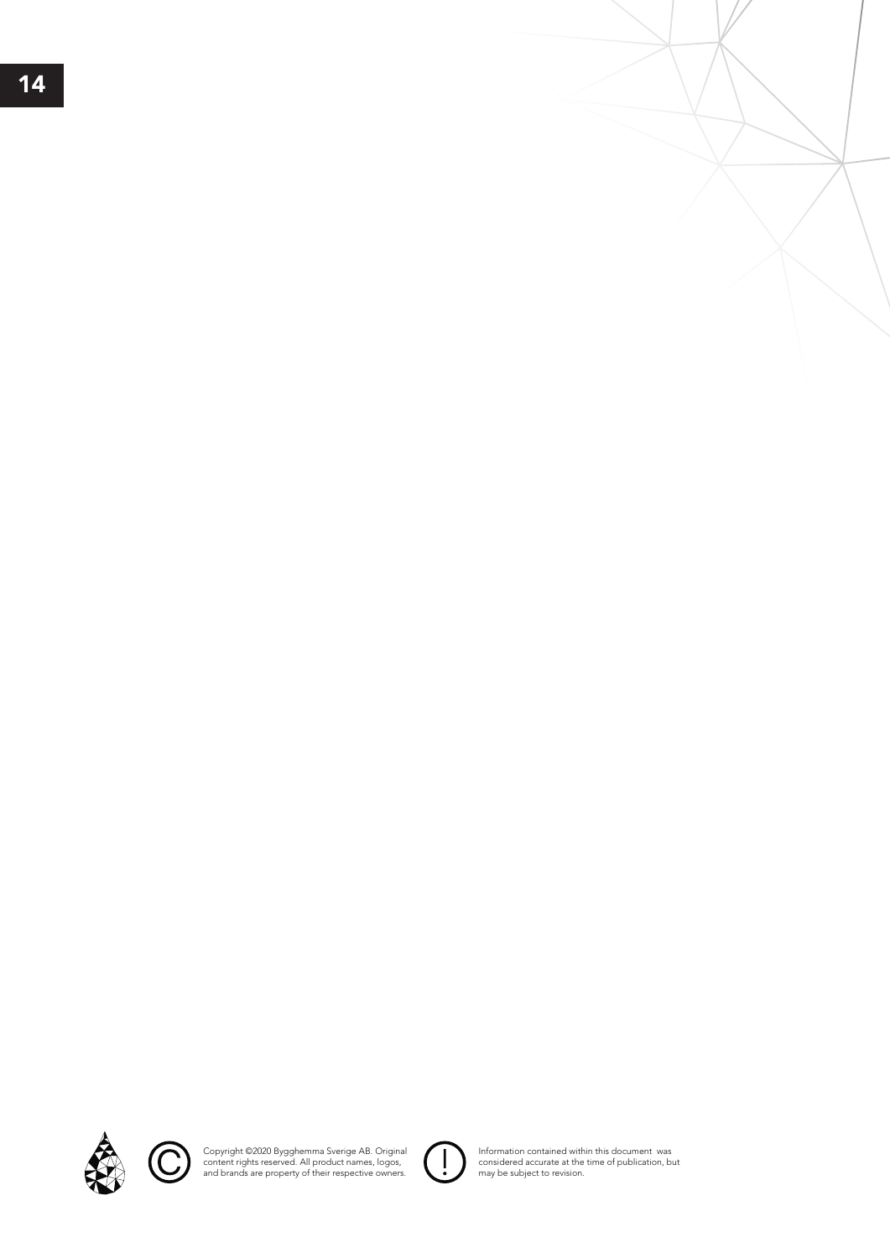14



Copyright ©2020 Bygghemma Sverige AB. Original content rights reserved. All product names, logos, and brands are property of their respective owners.

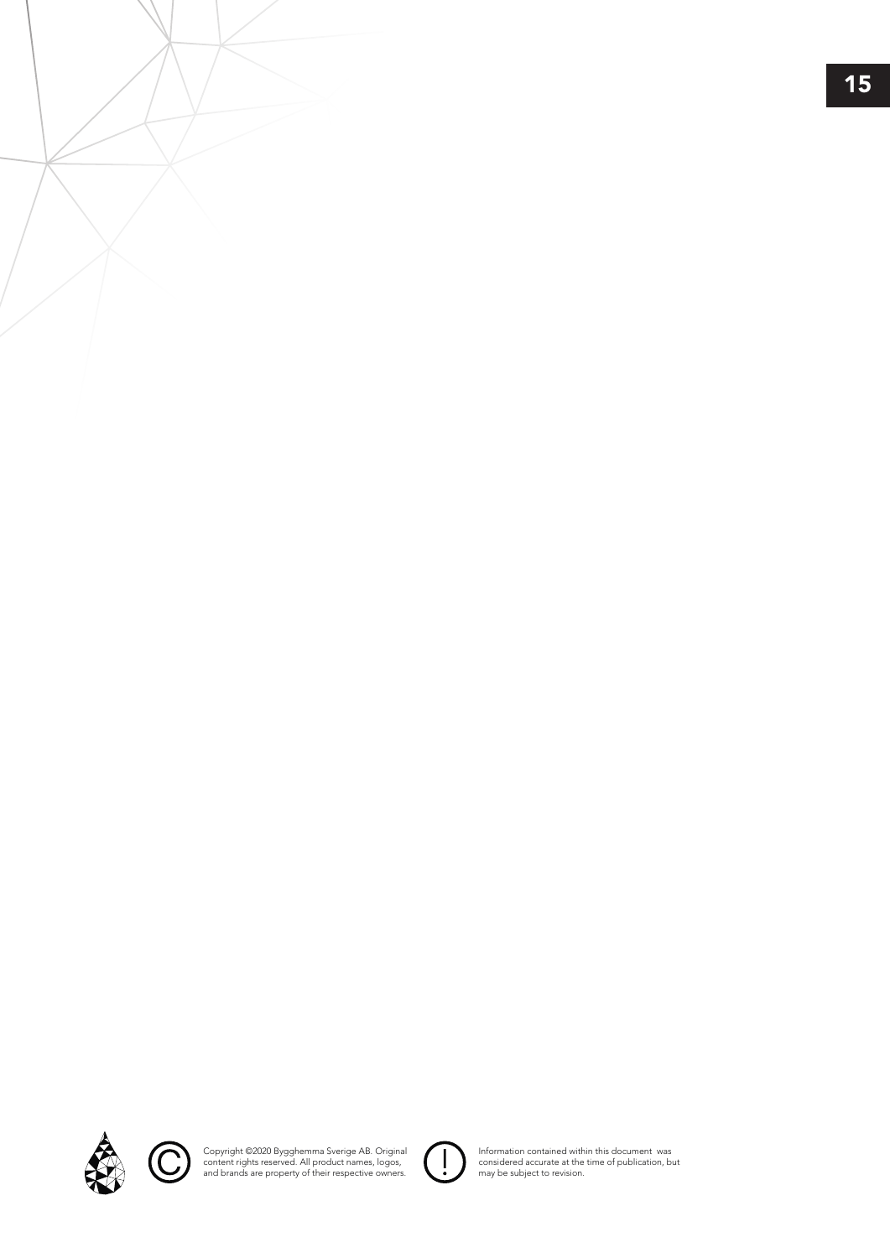



**C** 

Copyright ©2020 Bygghemma Sverige AB. Original content rights reserved. All product names, logos, and brands are property of their respective owners.